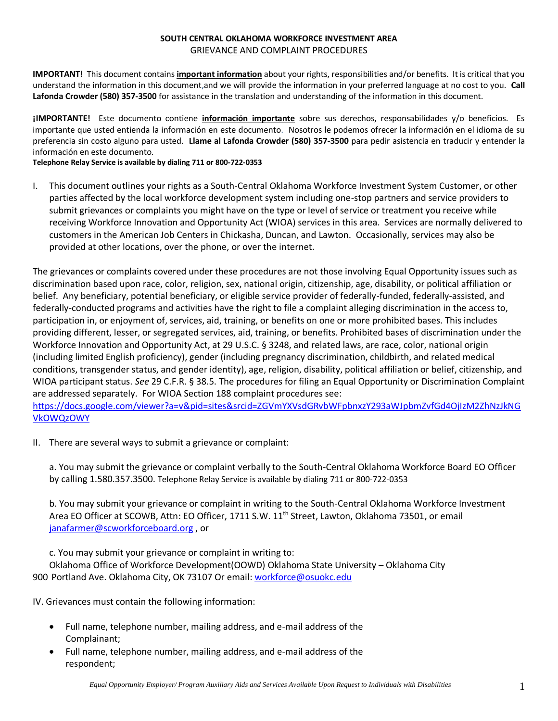## **SOUTH CENTRAL OKLAHOMA WORKFORCE INVESTMENT AREA** GRIEVANCE AND COMPLAINT PROCEDURES

**IMPORTANT!** This document contains **important information** about your rights, responsibilities and/or benefits. It is critical that you understand the information in this document,and we will provide the information in your preferred language at no cost to you. **Call Lafonda Crowder (580) 357-3500** for assistance in the translation and understanding of the information in this document.

**¡IMPORTANTE!** Este documento contiene **información importante** sobre sus derechos, responsabilidades y/o beneficios. Es importante que usted entienda la información en este documento. Nosotros le podemos ofrecer la información en el idioma de su preferencia sin costo alguno para usted. **Llame al Lafonda Crowder (580) 357-3500** para pedir asistencia en traducir y entender la información en este documento.

**Telephone Relay Service is available by dialing 711 or 800-722-0353**

I. This document outlines your rights as a South-Central Oklahoma Workforce Investment System Customer, or other parties affected by the local workforce development system including one-stop partners and service providers to submit grievances or complaints you might have on the type or level of service or treatment you receive while receiving Workforce Innovation and Opportunity Act (WIOA) services in this area. Services are normally delivered to customers in the American Job Centers in Chickasha, Duncan, and Lawton. Occasionally, services may also be provided at other locations, over the phone, or over the internet.

The grievances or complaints covered under these procedures are not those involving Equal Opportunity issues such as discrimination based upon race, color, religion, sex, national origin, citizenship, age, disability, or political affiliation or belief. Any beneficiary, potential beneficiary, or eligible service provider of federally-funded, federally-assisted, and federally-conducted programs and activities have the right to file a complaint alleging discrimination in the access to, participation in, or enjoyment of, services, aid, training, or benefits on one or more prohibited bases. This includes providing different, lesser, or segregated services, aid, training, or benefits. Prohibited bases of discrimination under the Workforce Innovation and Opportunity Act, at 29 U.S.C. § 3248, and related laws, are race, color, national origin (including limited English proficiency), gender (including pregnancy discrimination, childbirth, and related medical conditions, transgender status, and gender identity), age, religion, disability, political affiliation or belief, citizenship, and WIOA participant status. *See* 29 C.F.R. § 38.5. The procedures for filing an Equal Opportunity or Discrimination Complaint are addressed separately. For WIOA Section 188 complaint procedures see:

[https://docs.google.com/viewer?a=v&pid=sites&srcid=ZGVmYXVsdGRvbWFpbnxzY293aWJpbmZvfGd4OjIzM2ZhNzJkNG](https://docs.google.com/viewer?a=v&pid=sites&srcid=ZGVmYXVsdGRvbWFpbnxzY293aWJpbmZvfGd4OjIzM2ZhNzJkNGVkOWQzOWY) [VkOWQzOWY](https://docs.google.com/viewer?a=v&pid=sites&srcid=ZGVmYXVsdGRvbWFpbnxzY293aWJpbmZvfGd4OjIzM2ZhNzJkNGVkOWQzOWY)

II. There are several ways to submit a grievance or complaint:

a. You may submit the grievance or complaint verbally to the South-Central Oklahoma Workforce Board EO Officer by calling 1.580.357.3500. Telephone Relay Service is available by dialing 711 or 800-722-0353

b. You may submit your grievance or complaint in writing to the South-Central Oklahoma Workforce Investment Area EO Officer at SCOWB, Attn: EO Officer, 1711 S.W. 11<sup>th</sup> Street, Lawton, Oklahoma 73501, or email [janafarmer@scworkforceboard.org](mailto:janafarmer@scworkforceboard.org) , or

c. You may submit your grievance or complaint in writing to:

Oklahoma Office of Workforce Development(OOWD) Oklahoma State University – Oklahoma City 900 Portland Ave. Oklahoma City, OK 73107 Or email[: workforce@osuokc.edu](mailto:workforce@osuokc.edu)

IV. Grievances must contain the following information:

- Full name, telephone number, mailing address, and e-mail address of the Complainant;
- Full name, telephone number, mailing address, and e-mail address of the respondent;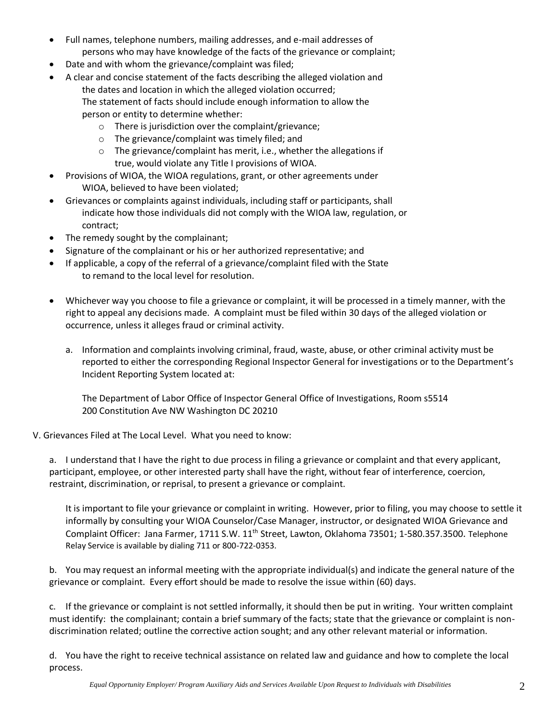- Full names, telephone numbers, mailing addresses, and e-mail addresses of persons who may have knowledge of the facts of the grievance or complaint;
- Date and with whom the grievance/complaint was filed;
- A clear and concise statement of the facts describing the alleged violation and the dates and location in which the alleged violation occurred; The statement of facts should include enough information to allow the person or entity to determine whether:
	- o There is jurisdiction over the complaint/grievance;
	- o The grievance/complaint was timely filed; and
	- o The grievance/complaint has merit, i.e., whether the allegations if true, would violate any Title I provisions of WIOA.
- Provisions of WIOA, the WIOA regulations, grant, or other agreements under WIOA, believed to have been violated;
- Grievances or complaints against individuals, including staff or participants, shall indicate how those individuals did not comply with the WIOA law, regulation, or contract;
- The remedy sought by the complainant;
- Signature of the complainant or his or her authorized representative; and
- If applicable, a copy of the referral of a grievance/complaint filed with the State to remand to the local level for resolution.
- Whichever way you choose to file a grievance or complaint, it will be processed in a timely manner, with the right to appeal any decisions made. A complaint must be filed within 30 days of the alleged violation or occurrence, unless it alleges fraud or criminal activity.
	- a. Information and complaints involving criminal, fraud, waste, abuse, or other criminal activity must be reported to either the corresponding Regional Inspector General for investigations or to the Department's Incident Reporting System located at:

The Department of Labor Office of Inspector General Office of Investigations, Room s5514 200 Constitution Ave NW Washington DC 20210

V. Grievances Filed at The Local Level. What you need to know:

a. I understand that I have the right to due process in filing a grievance or complaint and that every applicant, participant, employee, or other interested party shall have the right, without fear of interference, coercion, restraint, discrimination, or reprisal, to present a grievance or complaint.

It is important to file your grievance or complaint in writing. However, prior to filing, you may choose to settle it informally by consulting your WIOA Counselor/Case Manager, instructor, or designated WIOA Grievance and Complaint Officer: Jana Farmer, 1711 S.W. 11<sup>th</sup> Street, Lawton, Oklahoma 73501; 1-580.357.3500. Telephone Relay Service is available by dialing 711 or 800-722-0353.

b. You may request an informal meeting with the appropriate individual(s) and indicate the general nature of the grievance or complaint. Every effort should be made to resolve the issue within (60) days.

c. If the grievance or complaint is not settled informally, it should then be put in writing. Your written complaint must identify: the complainant; contain a brief summary of the facts; state that the grievance or complaint is nondiscrimination related; outline the corrective action sought; and any other relevant material or information.

d. You have the right to receive technical assistance on related law and guidance and how to complete the local process.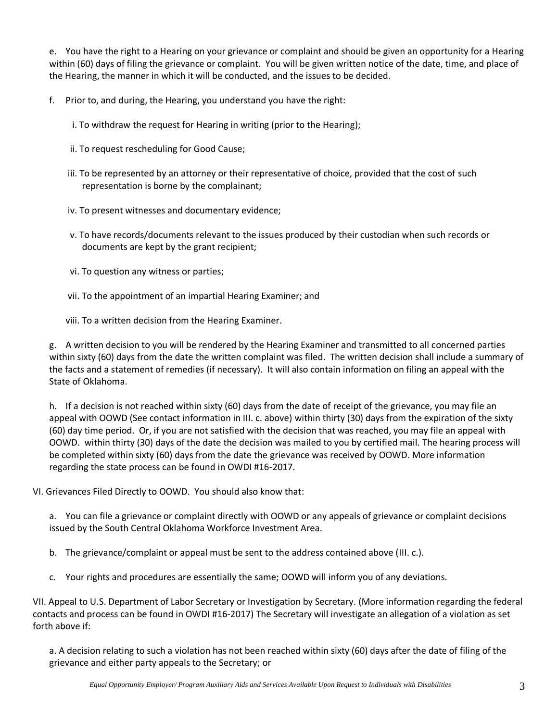e. You have the right to a Hearing on your grievance or complaint and should be given an opportunity for a Hearing within (60) days of filing the grievance or complaint. You will be given written notice of the date, time, and place of the Hearing, the manner in which it will be conducted, and the issues to be decided.

f. Prior to, and during, the Hearing, you understand you have the right:

- i. To withdraw the request for Hearing in writing (prior to the Hearing);
- ii. To request rescheduling for Good Cause;
- iii. To be represented by an attorney or their representative of choice, provided that the cost of such representation is borne by the complainant;
- iv. To present witnesses and documentary evidence;
- v. To have records/documents relevant to the issues produced by their custodian when such records or documents are kept by the grant recipient;
- vi. To question any witness or parties;
- vii. To the appointment of an impartial Hearing Examiner; and
- viii. To a written decision from the Hearing Examiner.

g. A written decision to you will be rendered by the Hearing Examiner and transmitted to all concerned parties within sixty (60) days from the date the written complaint was filed. The written decision shall include a summary of the facts and a statement of remedies (if necessary). It will also contain information on filing an appeal with the State of Oklahoma.

h. If a decision is not reached within sixty (60) days from the date of receipt of the grievance, you may file an appeal with OOWD (See contact information in III. c. above) within thirty (30) days from the expiration of the sixty (60) day time period. Or, if you are not satisfied with the decision that was reached, you may file an appeal with OOWD. within thirty (30) days of the date the decision was mailed to you by certified mail. The hearing process will be completed within sixty (60) days from the date the grievance was received by OOWD. More information regarding the state process can be found in OWDI #16-2017.

VI. Grievances Filed Directly to OOWD. You should also know that:

a. You can file a grievance or complaint directly with OOWD or any appeals of grievance or complaint decisions issued by the South Central Oklahoma Workforce Investment Area.

- b. The grievance/complaint or appeal must be sent to the address contained above (III. c.).
- c. Your rights and procedures are essentially the same; OOWD will inform you of any deviations.

VII. Appeal to U.S. Department of Labor Secretary or Investigation by Secretary. (More information regarding the federal contacts and process can be found in OWDI #16-2017) The Secretary will investigate an allegation of a violation as set forth above if:

a. A decision relating to such a violation has not been reached within sixty (60) days after the date of filing of the grievance and either party appeals to the Secretary; or